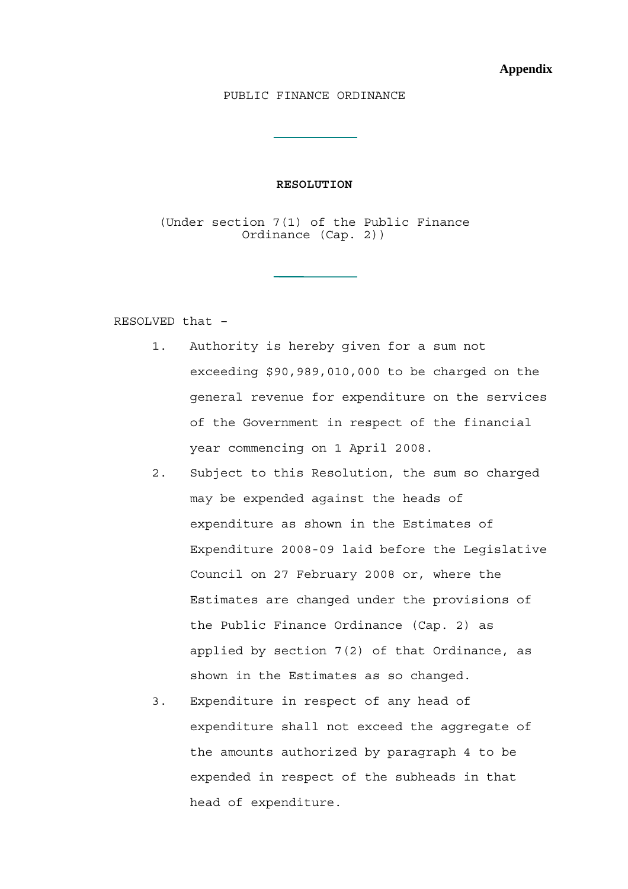## PUBLIC FINANCE ORDINANCE

## **RESOLUTION**

(Under section 7(1) of the Public Finance Ordinance (Cap. 2))

RESOLVED that –

- 1. Authority is hereby given for a sum not exceeding \$90,989,010,000 to be charged on the general revenue for expenditure on the services of the Government in respect of the financial year commencing on 1 April 2008.
- 2. Subject to this Resolution, the sum so charged may be expended against the heads of expenditure as shown in the Estimates of Expenditure 2008-09 laid before the Legislative Council on 27 February 2008 or, where the Estimates are changed under the provisions of the Public Finance Ordinance (Cap. 2) as applied by section 7(2) of that Ordinance, as shown in the Estimates as so changed.
- 3. Expenditure in respect of any head of expenditure shall not exceed the aggregate of the amounts authorized by paragraph 4 to be expended in respect of the subheads in that head of expenditure.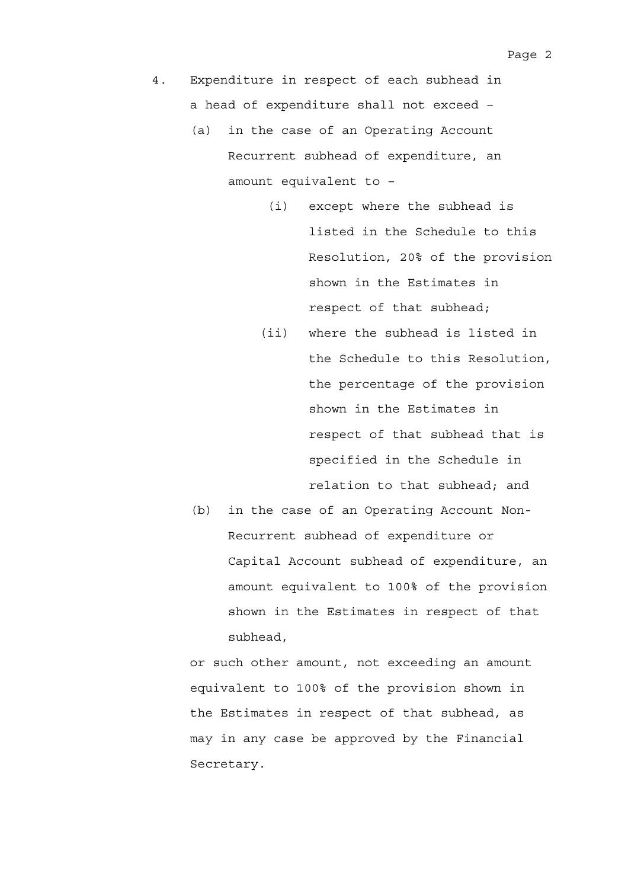- 4. Expenditure in respect of each subhead in a head of expenditure shall not exceed –
	- (a) in the case of an Operating Account Recurrent subhead of expenditure, an amount equivalent to –
		- (i) except where the subhead is listed in the Schedule to this Resolution, 20% of the provision shown in the Estimates in respect of that subhead;
		- (ii) where the subhead is listed in the Schedule to this Resolution, the percentage of the provision shown in the Estimates in respect of that subhead that is specified in the Schedule in relation to that subhead; and
	- (b) in the case of an Operating Account Non-Recurrent subhead of expenditure or Capital Account subhead of expenditure, an amount equivalent to 100% of the provision shown in the Estimates in respect of that subhead,

or such other amount, not exceeding an amount equivalent to 100% of the provision shown in the Estimates in respect of that subhead, as may in any case be approved by the Financial Secretary.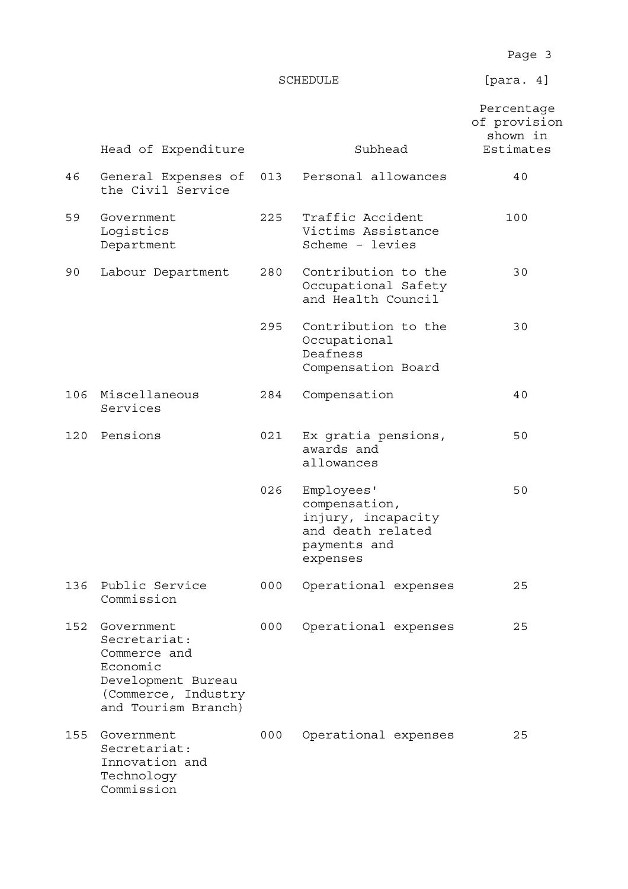Page 3

SCHEDULE [para. 4]

|     | Head of Expenditure                                                                                                        |     | Subhead                                                                                            | Percentage<br>of provision<br>shown in<br>Estimates |
|-----|----------------------------------------------------------------------------------------------------------------------------|-----|----------------------------------------------------------------------------------------------------|-----------------------------------------------------|
| 46  | General Expenses of<br>the Civil Service                                                                                   | 013 | Personal allowances                                                                                | 40                                                  |
| 59  | Government<br>Logistics<br>Department                                                                                      | 225 | Traffic Accident<br>Victims Assistance<br>Scheme - levies                                          | 100                                                 |
| 90  | Labour Department                                                                                                          | 280 | Contribution to the<br>Occupational Safety<br>and Health Council                                   | 30                                                  |
|     |                                                                                                                            | 295 | Contribution to the<br>Occupational<br>Deafness<br>Compensation Board                              | 30                                                  |
| 106 | Miscellaneous<br>Services                                                                                                  | 284 | Compensation                                                                                       | 40                                                  |
| 120 | Pensions                                                                                                                   | 021 | Ex gratia pensions,<br>awards and<br>allowances                                                    | 50                                                  |
|     |                                                                                                                            | 026 | Employees'<br>compensation,<br>injury, incapacity<br>and death related<br>payments and<br>expenses | 50                                                  |
| 136 | Public Service<br>Commission                                                                                               | 000 | Operational expenses                                                                               | 25                                                  |
| 152 | Government<br>Secretariat:<br>Commerce and<br>Economic<br>Development Bureau<br>(Commerce, Industry<br>and Tourism Branch) | 000 | Operational expenses                                                                               | 25                                                  |
| 155 | Government<br>Secretariat:<br>Innovation and<br>Technology<br>Commission                                                   | 000 | Operational expenses                                                                               | 25                                                  |